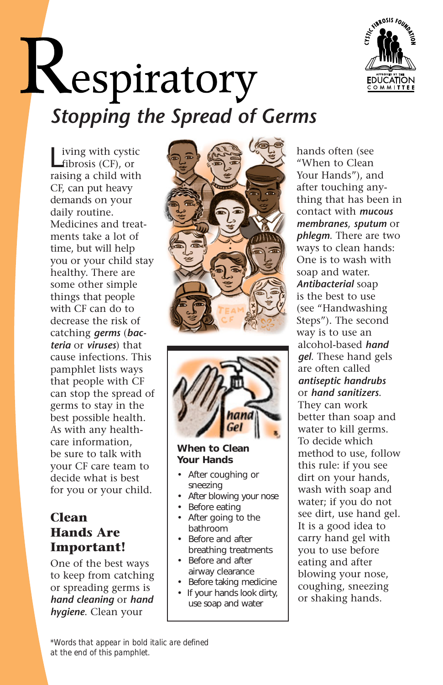

# *Stopping the Spread of Germs*

iving with cystic fibrosis (CF), or raising a child with CF, can put heavy demands on your daily routine. Medicines and treatments take a lot of time, but will help you or your child stay healthy. There are some other simple things that people with CF can do to decrease the risk of catching *germs* (*bacteria* or *viruses*) that cause infections. This pamphlet lists ways that people with CF can stop the spread of germs to stay in the best possible health. As with any healthcare information, be sure to talk with your CF care team to decide what is best for you or your child.

# **Clean Hands Are Important!**

One of the best ways to keep from catching or spreading germs is *hand cleaning* or *hand hygiene*. Clean your





## **When to Clean Your Hands**

- After coughing or sneezing
- After blowing your nose
- Before eating
- After going to the bathroom
- Before and after breathing treatments
- Before and after airway clearance
- Before taking medicine
- If your hands look dirty, use soap and water

hands often (see "When to Clean Your Hands"), and after touching anything that has been in contact with *mucous membranes*, *sputum* or *phlegm*. There are two ways to clean hands: One is to wash with soap and water. *Antibacterial* soap is the best to use (see "Handwashing Steps"). The second way is to use an alcohol-based *hand gel*. These hand gels are often called *antiseptic handrubs*  or *hand sanitizers*. They can work better than soap and water to kill germs. To decide which method to use, follow this rule: if you see dirt on your hands, wash with soap and water; if you do not see dirt, use hand gel. It is a good idea to carry hand gel with you to use before eating and after blowing your nose, coughing, sneezing or shaking hands.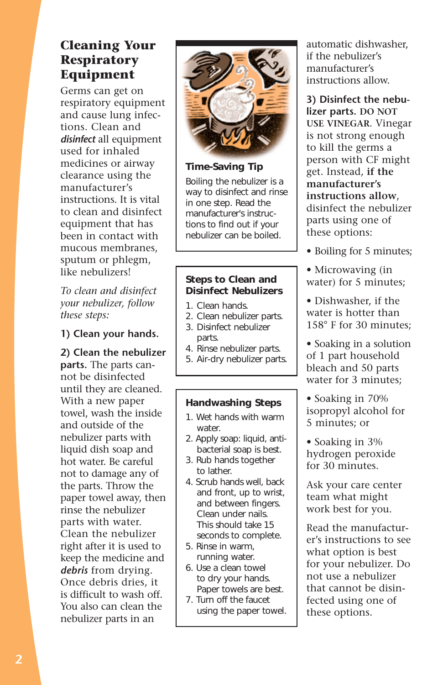# **Cleaning Your Respiratory Equipment**

Germs can get on respiratory equipment and cause lung infections. Clean and *disinfect* all equipment used for inhaled medicines or airway clearance using the manufacturer's instructions. It is vital to clean and disinfect equipment that has been in contact with mucous membranes, sputum or phlegm, like nebulizers!

*To clean and disinfect your nebulizer, follow these steps:* 

## **1) Clean your hands.**

**2) Clean the nebulizer parts.** The parts cannot be disinfected until they are cleaned. With a new paper towel, wash the inside and outside of the nebulizer parts with liquid dish soap and hot water. Be careful not to damage any of the parts. Throw the paper towel away, then rinse the nebulizer parts with water. Clean the nebulizer right after it is used to keep the medicine and *debris* from drying. Once debris dries, it is difficult to wash off. You also can clean the nebulizer parts in an



#### **Time-Saving Tip**

Boiling the nebulizer is a way to disinfect and rinse in one step. Read the manufacturer's instructions to find out if your nebulizer can be boiled.

### **Steps to Clean and Disinfect Nebulizers**

- 1. Clean hands.
- 2. Clean nebulizer parts.
- 3. Disinfect nebulizer parts.
- 4. Rinse nebulizer parts.
- 5. Air-dry nebulizer parts.

#### **Handwashing Steps**

- 1. Wet hands with warm water.
- 2. Apply soap: liquid, antibacterial soap is best.
- 3. Rub hands together to lather.
- 4. Scrub hands well, back and front, up to wrist, and between fingers. Clean under nails. This should take 15 seconds to complete.
- 5. Rinse in warm, running water.
- 6. Use a clean towel to dry your hands. Paper towels are best.
- 7. Turn off the faucet using the paper towel.

automatic dishwasher, if the nebulizer's manufacturer's instructions allow.

**3) Disinfect the nebulizer parts. DO NOT USE VINEGAR**. Vinegar is not strong enough to kill the germs a person with CF might get. Instead, **if the manufacturer's instructions allow**, disinfect the nebulizer parts using one of these options:

- Boiling for 5 minutes;
- Microwaving (in water) for 5 minutes;
- Dishwasher, if the water is hotter than 158° F for 30 minutes;
- Soaking in a solution of 1 part household bleach and 50 parts water for 3 minutes;
- Soaking in 70% isopropyl alcohol for 5 minutes; or
- Soaking in 3% hydrogen peroxide for 30 minutes.

Ask your care center team what might work best for you.

Read the manufacturer's instructions to see what option is best for your nebulizer. Do not use a nebulizer that cannot be disinfected using one of these options.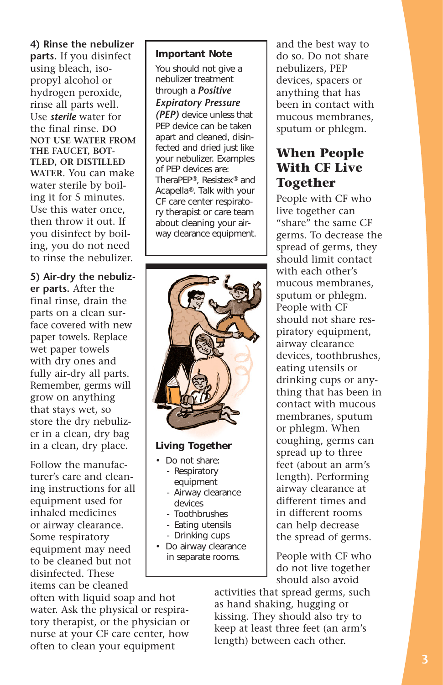**4) Rinse the nebulizer parts.** If you disinfect using bleach, isopropyl alcohol or hydrogen peroxide, rinse all parts well. Use *sterile* water for the final rinse. **DO NOT USE WATER FROM THE FAUCET, BOT-TLED, OR DISTILLED WATER**. You can make water sterile by boiling it for 5 minutes. Use this water once, then throw it out. If you disinfect by boiling, you do not need to rinse the nebulizer.

**5) Air-dry the nebulizer parts.** After the final rinse, drain the parts on a clean surface covered with new paper towels. Replace wet paper towels with dry ones and fully air-dry all parts. Remember, germs will grow on anything that stays wet, so store the dry nebulizer in a clean, dry bag in a clean, dry place.

Follow the manufacturer's care and cleaning instructions for all equipment used for inhaled medicines or airway clearance. Some respiratory equipment may need to be cleaned but not disinfected. These items can be cleaned

## TheraPEP®, Resistex® and Acapella®. Talk with your

CF care center respiratory therapist or care team about cleaning your airway clearance equipment.

**Important Note**  You should not give a nebulizer treatment through a *Positive Expiratory Pressure (PEP)* device unless that PEP device can be taken apart and cleaned, disinfected and dried just like your nebulizer. Examples of PEP devices are:



#### **Living Together**

- Do not share: - Respiratory
	- equipment - Airway clearance
	- devices - Toothbrushes
	- Eating utensils
	- Drinking cups
	-
- Do airway clearance in separate rooms.

and the best way to do so. Do not share nebulizers, PEP devices, spacers or anything that has been in contact with mucous membranes, sputum or phlegm.

# **When People With CF Live Together**

People with CF who live together can "share" the same CF germs. To decrease the spread of germs, they should limit contact with each other's mucous membranes, sputum or phlegm. People with CF should not share respiratory equipment, airway clearance devices, toothbrushes, eating utensils or drinking cups or anything that has been in contact with mucous membranes, sputum or phlegm. When coughing, germs can spread up to three feet (about an arm's length). Performing airway clearance at different times and in different rooms can help decrease the spread of germs.

People with CF who do not live together should also avoid

activities that spread germs, such as hand shaking, hugging or kissing. They should also try to keep at least three feet (an arm's length) between each other.

often with liquid soap and hot water. Ask the physical or respiratory therapist, or the physician or nurse at your CF care center, how often to clean your equipment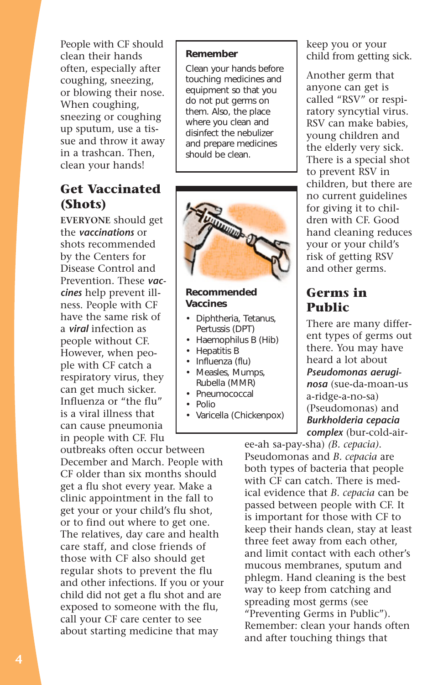People with CF should clean their hands often, especially after coughing, sneezing, or blowing their nose. When coughing, sneezing or coughing up sputum, use a tissue and throw it away in a trashcan. Then, clean your hands!

# **Get Vaccinated (Shots)**

**EVERYONE** should get the *vaccinations* or shots recommended by the Centers for Disease Control and Prevention. These *vaccines* help prevent illness. People with CF have the same risk of a *viral* infection as people without CF. However, when people with CF catch a respiratory virus, they can get much sicker. Influenza or "the flu" is a viral illness that can cause pneumonia in people with CF. Flu

outbreaks often occur between December and March. People with CF older than six months should get a flu shot every year. Make a clinic appointment in the fall to get your or your child's flu shot, or to find out where to get one. The relatives, day care and health care staff, and close friends of those with CF also should get regular shots to prevent the flu and other infections. If you or your child did not get a flu shot and are exposed to someone with the flu, call your CF care center to see about starting medicine that may

#### **Remember**

Clean your hands before touching medicines and equipment so that you do not put germs on them. Also, the place where you clean and disinfect the nebulizer and prepare medicines should be clean.



#### **Recommended Vaccines**

- Diphtheria, Tetanus, Pertussis (DPT)
- Haemophilus B (Hib)
- Hepatitis B
- Influenza (flu)
- Measles, Mumps, Rubella (MMR)
- Pneumococcal
- Polio
- Varicella (Chickenpox)

keep you or your child from getting sick.

Another germ that anyone can get is called "RSV" or respiratory syncytial virus. RSV can make babies, young children and the elderly very sick. There is a special shot to prevent RSV in children, but there are no current guidelines for giving it to children with CF. Good hand cleaning reduces your or your child's risk of getting RSV and other germs.

# **Germs in Public**

There are many different types of germs out there. You may have heard a lot about *Pseudomonas aeruginosa* (sue-da-moan-us a-ridge-a-no-sa) (Pseudomonas) and *Burkholderia cepacia complex* (bur-cold-air-

ee-ah sa-pay-sha) *(B. cepacia)*. Pseudomonas and *B. cepacia* are both types of bacteria that people with CF can catch. There is medical evidence that *B. cepacia* can be passed between people with CF. It is important for those with CF to keep their hands clean, stay at least three feet away from each other, and limit contact with each other's mucous membranes, sputum and phlegm. Hand cleaning is the best way to keep from catching and spreading most germs (see "Preventing Germs in Public"). Remember: clean your hands often and after touching things that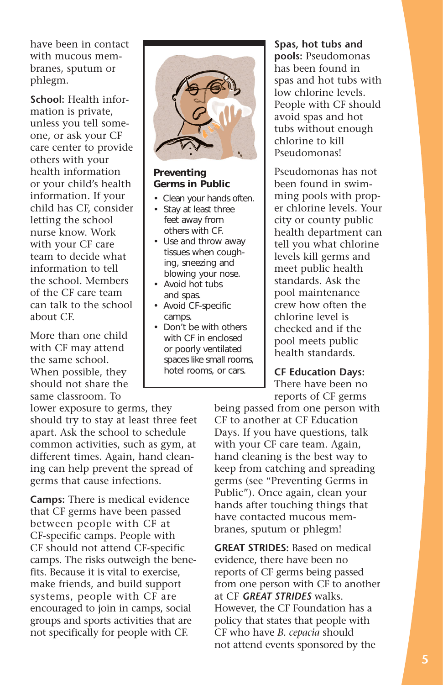have been in contact with mucous membranes, sputum or phlegm.

**School:** Health information is private, unless you tell someone, or ask your CF care center to provide others with your health information or your child's health information. If your child has CF, consider letting the school nurse know. Work with your CF care team to decide what information to tell the school. Members of the CF care team can talk to the school about CF.

More than one child with CF may attend the same school. When possible, they should not share the same classroom. To

lower exposure to germs, they should try to stay at least three feet apart. Ask the school to schedule common activities, such as gym, at different times. Again, hand cleaning can help prevent the spread of germs that cause infections.

**Camps:** There is medical evidence that CF germs have been passed between people with CF at CF-specific camps. People with CF should not attend CF-specific camps. The risks outweigh the benefits. Because it is vital to exercise, make friends, and build support systems, people with CF are encouraged to join in camps, social groups and sports activities that are not specifically for people with CF.



#### **Preventing Germs in Public**

- Clean your hands often.
- Stay at least three feet away from others with CF.
- Use and throw away tissues when coughing, sneezing and blowing your nose.
- Avoid hot tubs and spas.
- Avoid CF-specific camps.
- Don't be with others with CF in enclosed or poorly ventilated spaces like small rooms, hotel rooms, or cars.

**Spas, hot tubs and pools:** Pseudomonas has been found in spas and hot tubs with low chlorine levels. People with CF should avoid spas and hot tubs without enough chlorine to kill Pseudomonas!

Pseudomonas has not been found in swimming pools with proper chlorine levels. Your city or county public health department can tell you what chlorine levels kill germs and meet public health standards. Ask the pool maintenance crew how often the chlorine level is checked and if the pool meets public health standards.

# **CF Education Days:**

There have been no reports of CF germs

being passed from one person with CF to another at CF Education Days. If you have questions, talk with your CF care team. Again, hand cleaning is the best way to keep from catching and spreading germs (see "Preventing Germs in Public"). Once again, clean your hands after touching things that have contacted mucous membranes, sputum or phlegm!

**GREAT STRIDES:** Based on medical evidence, there have been no reports of CF germs being passed from one person with CF to another at CF *GREAT STRIDES* walks. However, the CF Foundation has a policy that states that people with CF who have *B. cepacia* should not attend events sponsored by the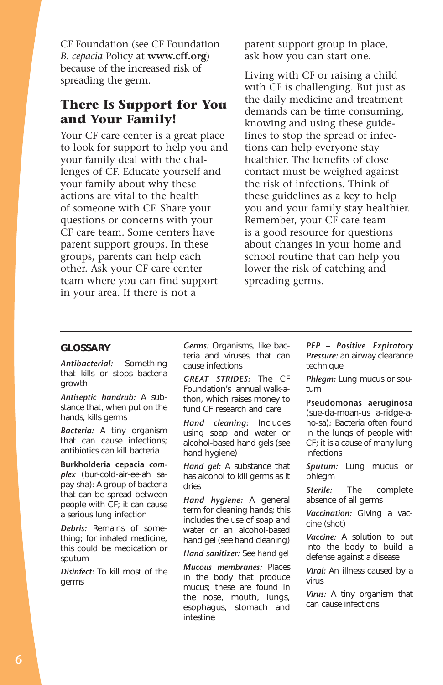CF Foundation (see CF Foundation *B. cepacia* Policy at **<www.cff.org>**) because of the increased risk of spreading the germ.

# **There Is Support for You and Your Family!**

Your CF care center is a great place to look for support to help you and your family deal with the challenges of CF. Educate yourself and your family about why these actions are vital to the health of someone with CF. Share your questions or concerns with your CF care team. Some centers have parent support groups. In these groups, parents can help each other. Ask your CF care center team where you can find support in your area. If there is not a

parent support group in place, ask how you can start one.

Living with CF or raising a child with CF is challenging. But just as the daily medicine and treatment demands can be time consuming, knowing and using these guidelines to stop the spread of infections can help everyone stay healthier. The benefits of close contact must be weighed against the risk of infections. Think of these guidelines as a key to help you and your family stay healthier. Remember, your CF care team is a good resource for questions about changes in your home and school routine that can help you lower the risk of catching and spreading germs.

#### **GLOSSARY**

*Antibacterial:* Something that kills or stops bacteria growth

*Antiseptic handrub:* A substance that, when put on the hands, kills germs

*Bacteria:* A tiny organism that can cause infections; antibiotics can kill bacteria

**Burkholderia cepacia** *complex* (bur-cold-air-ee-ah sapay-sha)*:* A group of bacteria that can be spread between people with CF; it can cause a serious lung infection

*Debris:* Remains of something; for inhaled medicine, this could be medication or sputum

*Disinfect:* To kill most of the germs

*Germs:* Organisms, like bacteria and viruses, that can cause infections

*GREAT STRIDES:* The CF Foundation's annual walk-athon, which raises money to fund CF research and care

*Hand cleaning:* Includes using soap and water or alcohol-based hand gels (see hand hygiene)

*Hand gel:* A substance that has alcohol to kill germs as it dries

*Hand hygiene:* A general term for cleaning hands; this includes the use of soap and water or an alcohol-based hand gel (see hand cleaning)

*Hand sanitizer:* See *hand gel* 

*Mucous membranes:* Places in the body that produce mucus; these are found in the nose, mouth, lungs, esophagus, stomach and intestine

*PEP – Positive Expiratory Pressure:* an airway clearance technique

*Phlegm:* Lung mucus or sputum

**Pseudomonas aeruginosa**  (sue-da-moan-us a-ridge-ano-sa)*:* Bacteria often found in the lungs of people with CF; it is a cause of many lung infections

*Sputum:* Lung mucus or phlegm

*Sterile:* The complete absence of all germs

*Vaccination:* Giving a vaccine (shot)

*Vaccine:* A solution to put into the body to build a defense against a disease

*Viral:* An illness caused by a virus

*Virus:* A tiny organism that can cause infections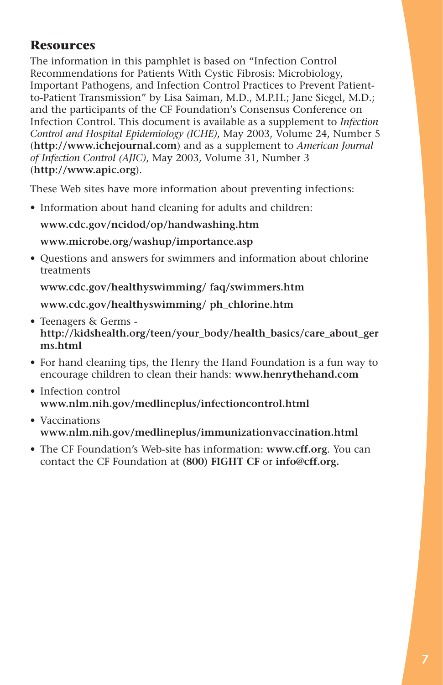# **Resources**

The information in this pamphlet is based on "Infection Control Recommendations for Patients With Cystic Fibrosis: Microbiology, Important Pathogens, and Infection Control Practices to Prevent Patientto-Patient Transmission" by Lisa Saiman, M.D., M.P.H.; Jane Siegel, M.D.; and the participants of the CF Foundation's Consensus Conference on Infection Control. This document is available as a supplement to *Infection Control and Hospital Epidemiology (ICHE)*, May 2003, Volume 24, Number 5 (**<http://www.ichejournal.com>**) and as a supplement to *American Journal of Infection Control (AJIC)*, May 2003, Volume 31, Number 3 (**<http://www.apic.org>**).

These Web sites have more information about preventing infections:

• Information about hand cleaning for adults and children:

## **<www.cdc.gov/ncidod/op/handwashing.htm>**

## **<www.microbe.org/washup/importance.asp>**

• Questions and answers for swimmers and information about chlorine treatments

## **<www.cdc.gov/healthyswimming>/ faq/swimmers.htm**

**<www.cdc.gov/healthyswimming>/ ph\_chlorine.htm** 

- Teenagers & Germs **[http://kidshealth.org/teen/your\\_body/health\\_basics/care\\_about\\_ger](http://kidshealth.org/teen/your_body/health_basics/care_about_ger)  ms.html**
- For hand cleaning tips, the Henry the Hand Foundation is a fun way to encourage children to clean their hands: **<www.henrythehand.com>**
- Infection control **<www.nlm.nih.gov/medlineplus/infectioncontrol.html>**
- Vaccinations **<www.nlm.nih.gov/medlineplus/immunizationvaccination.html>**
- The CF Foundation's Web-site has information: **<www.cff.org>**. You can contact the CF Foundation at **(800) FIGHT CF** or **[info@cff.org.](mailto:info@cff.org)**